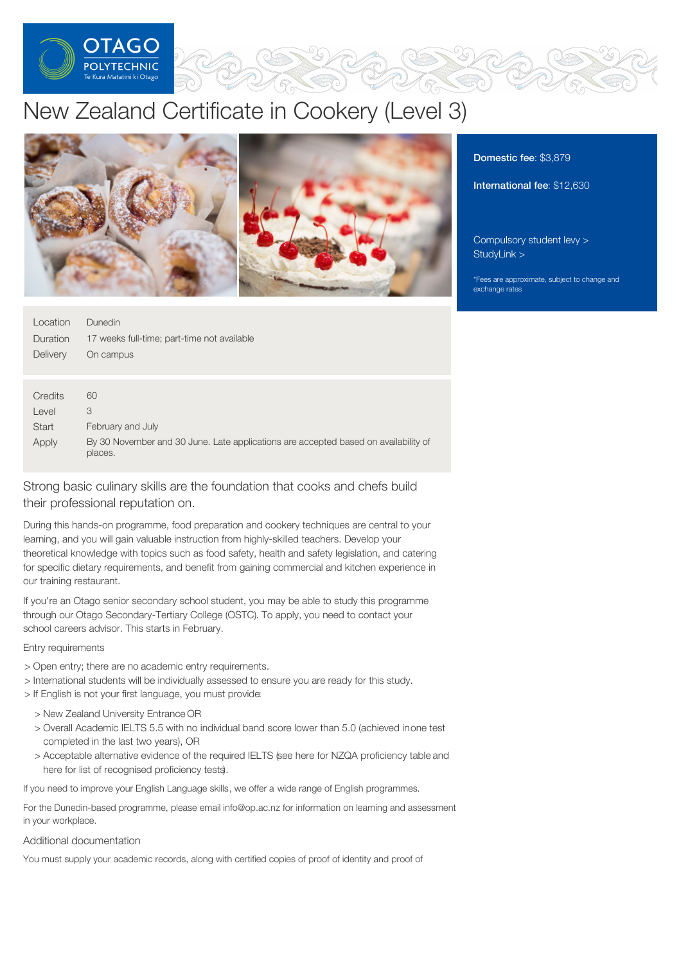

# New Zealand Certificate in Cookery (Level 3)



| Location        | <b>Dunedin</b>                                                                                 |
|-----------------|------------------------------------------------------------------------------------------------|
| <b>Duration</b> | 17 weeks full-time; part-time not available                                                    |
| Delivery        | On campus                                                                                      |
|                 |                                                                                                |
| Credits         | 60                                                                                             |
| Level           | 3                                                                                              |
| <b>Start</b>    | February and July                                                                              |
| Apply           | By 30 November and 30 June. Late applications are accepted based on availability of<br>places. |

# Strong basic culinary skills are the foundation that cooks and chefs build their professional reputation on.

During this hands-on programme, food preparation and cookery techniques are central to your learning, and you will gain valuable instruction from highly-skilled teachers. Develop your theoretical knowledge with topics such as food safety, health and safety legislation, and catering for specific dietary requirements, and benefit from gaining commercial and kitchen experience in our training restaurant.

If you're an Otago senior secondary school student, you may be able to study this programme through our Otago Secondary-Tertiary College (OSTC). To apply, you need to contact your school careers advisor. This starts in February.

## Entry requirements

- > Open entry; there are no academic entry requirements.
- > International students will be individually assessed to ensure you are ready for this study.
- > If English is not your first language, you must provide:
	- > New Zealand University Entrance OR
	- > Overall Academic IELTS 5.5 with no individual band score lower than 5.0 (achieved inone test completed in the last two years), OR
	- > Acceptable alternative evidence of the required IELTS (see here for NZQA proficiency table and here for list of recognised proficiency tests).

If you need to improve your English Language skills, we offer a wide range of English programmes.

For the Dunedin-based programme, please email info@op.ac.nz for information on learning and assessment in your workplace.

#### Additional documentation

You must supply your academic records, along with certified copies of proof of identity and proof of

# Domestic fee: \$3,879

International fee: \$12,630

[Compulsory](https://online.op.ac.nz/students/important-information/student-services-levy/) student levy > [StudyLink](https://www.studylink.govt.nz/) >

\*Fees are approximate, subject to change and exchange rates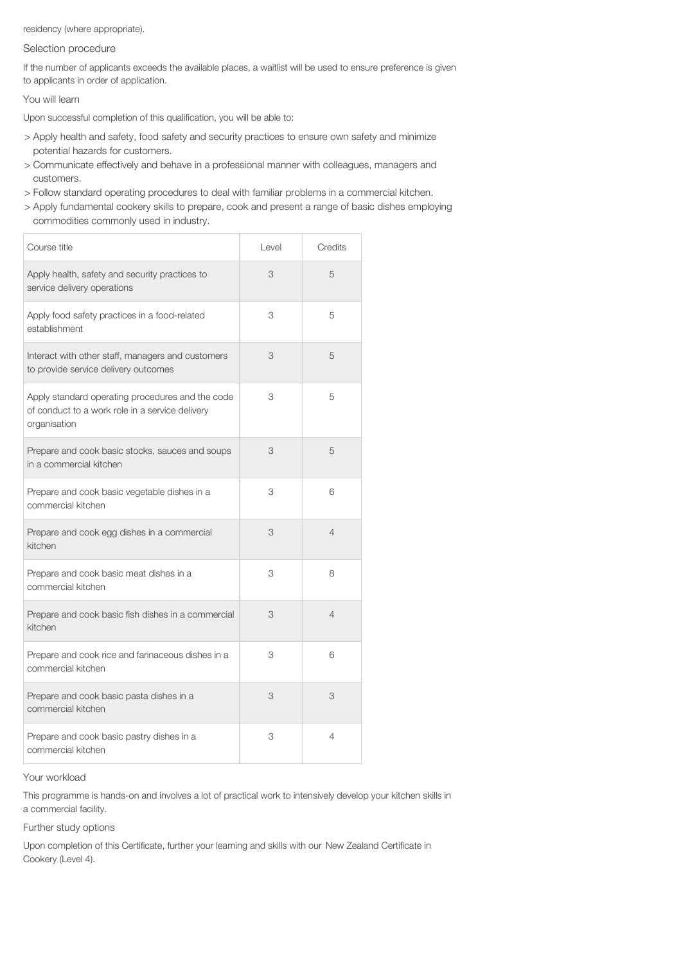residency (where appropriate).

# Selection procedure

If the number of applicants exceeds the available places, a waitlist will be used to ensure preference is given to applicants in order of application.

You will learn

Upon successful completion of this qualification, you will be able to:

- > Apply health and safety, food safety and security practices to ensure own safety and minimize potential hazards for customers.
- > Communicate effectively and behave in a professional manner with colleagues, managers and customers.
- > Follow standard operating procedures to deal with familiar problems in a commercial kitchen.
- > Apply fundamental cookery skills to prepare, cook and present a range of basic dishes employing commodities commonly used in industry.

| Course title                                                                                                        | Level | Credits        |
|---------------------------------------------------------------------------------------------------------------------|-------|----------------|
| Apply health, safety and security practices to<br>service delivery operations                                       | 3     | 5              |
| Apply food safety practices in a food-related<br>establishment                                                      | 3     | 5              |
| Interact with other staff, managers and customers<br>to provide service delivery outcomes                           | 3     | 5              |
| Apply standard operating procedures and the code<br>of conduct to a work role in a service delivery<br>organisation | 3     | 5              |
| Prepare and cook basic stocks, sauces and soups<br>in a commercial kitchen                                          | 3     | 5              |
| Prepare and cook basic vegetable dishes in a<br>commercial kitchen                                                  | 3     | 6              |
| Prepare and cook egg dishes in a commercial<br>kitchen                                                              | 3     | $\overline{4}$ |
| Prepare and cook basic meat dishes in a<br>commercial kitchen                                                       | 3     | 8              |
| Prepare and cook basic fish dishes in a commercial<br>kitchen                                                       | 3     | $\overline{4}$ |
| Prepare and cook rice and farinaceous dishes in a<br>commercial kitchen                                             | 3     | 6              |
| Prepare and cook basic pasta dishes in a<br>commercial kitchen                                                      | 3     | 3              |
| Prepare and cook basic pastry dishes in a<br>commercial kitchen                                                     | 3     | 4              |

#### Your workload

This programme is hands-on and involves a lot of practical work to intensively develop your kitchen skills in a commercial facility.

## Further study options

Upon completion of this Certificate, further your learning and skills with our New Zealand Certificate in Cookery (Level 4).